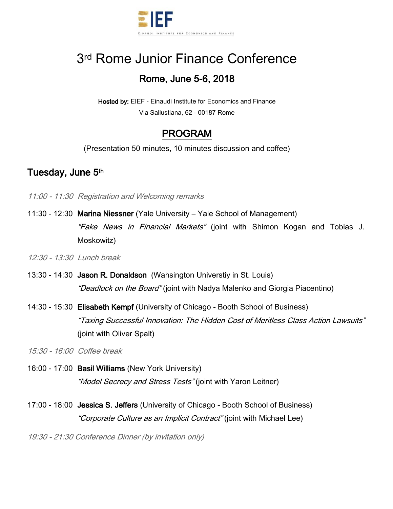

# 3<sup>rd</sup> Rome Junior Finance Conference Rome, June 5-6, 2018

Hosted by: EIEF - Einaudi Institute for Economics and Finance Via Sallustiana, 62 - 00187 Rome

## PROGRAM

(Presentation 50 minutes, 10 minutes discussion and coffee)

#### Tuesday, June 5<sup>th</sup>

- 11:00 11:30 Registration and Welcoming remarks
- 11:30 12:30 Marina Niessner (Yale University Yale School of Management) "Fake News in Financial Markets" (joint with Shimon Kogan and Tobias J. Moskowitz)

12:30 - 13:30 Lunch break

- 13:30 14:30 Jason R. Donaldson (Wahsington Universtiy in St. Louis) "Deadlock on the Board" (joint with Nadya Malenko and Giorgia Piacentino)
- 14:30 15:30 Elisabeth Kempf (University of Chicago Booth School of Business) "Taxing Successful Innovation: The Hidden Cost of Meritless Class Action Lawsuits" (joint with Oliver Spalt)

15:30 - 16:00 Coffee break

- 16:00 17:00 Basil Williams (New York University) "*Model Secrecy and Stress Tests*" (joint with Yaron Leitner)
- 17:00 18:00 Jessica S. Jeffers (University of Chicago Booth School of Business) "Corporate Culture as an Implicit Contract" (joint with Michael Lee)

19:30 - 21:30 Conference Dinner (by invitation only)